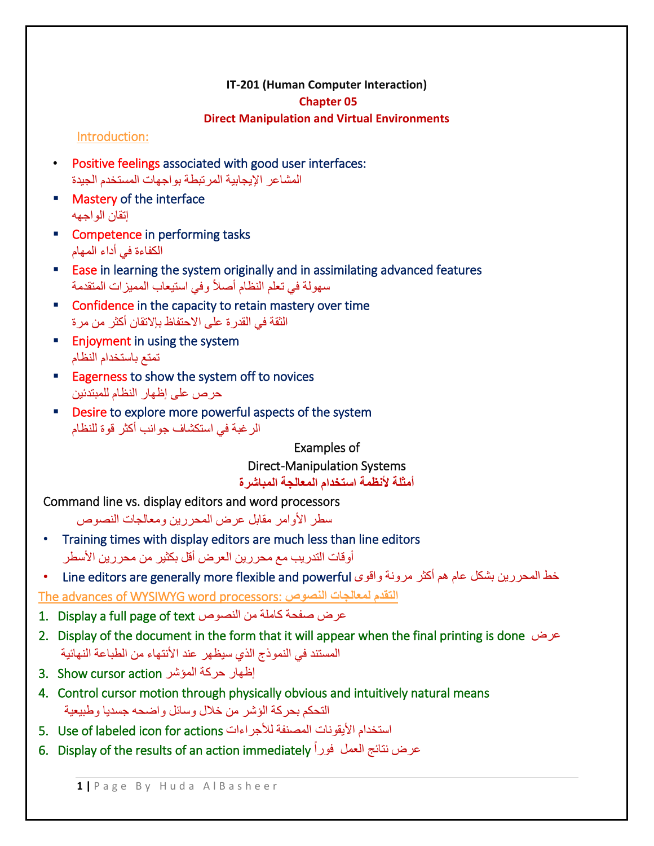## **IT-201 (Human Computer Interaction)**

### **Chapter 05**

## **Direct Manipulation and Virtual Environments**

## Introduction:

- Positive feelings associated with good user interfaces: المشاعر اإليجابية المرتبطة بواجهات المستخدم الجيدة
- **Mastery of the interface** إتقان الواجهه
- **EXECOMPEREE COMPETER COMPETER** tasks الكفاءة في أداء المهام
- **Ease in learning the system originally and in assimilating advanced features** سهولة في تعلم النظام أصالً وفي استيعاب المميزات المتقدمة
- **E** Confidence in the capacity to retain mastery over time الثقة في القدرة على االحتفاظ بإالتقان أكثر من مرة
- **Enjoyment in using the system** تمتع باستخدام النظام
- Eagerness to show the system off to novices حرص على إظهار النظام للمبتدئين
- **Desire to explore more powerful aspects of the system** الرغبة في استكشاف جوانب أكثر قوة للنظام

Examples of

Direct-Manipulation Systems

**أمثلة ألنظمة استخدام المعالجة المباشرة**

Command line vs. display editors and word processors

سطر الأوامر مقابل عرض المحررين ومعالجات النصوص

- Training times with display editors are much less than line editors أوقات التدريب مع محررين العرض أقل بكثير من محررين الأسطر
- خط المحررين بشكل عام هم أكثر مرونة واقوى Line editors are generally more flexible and powerful

The advances of WYSIWYG word processors: **النصوص لمعالجات التقدم**

- 1. Display a full page of text النصوص من كاملة صفحة عرض
- 2. Display of the document in the form that it will appear when the final printing is done عرض المستند في النموذج الذي سيظهر عند الأنتهاء من الطباعة النهائية
- إظهار حركة المؤشر action cursor Show 3.
- 4. Control cursor motion through physically obvious and intuitively natural means التحكم بحركة الؤشر من خالل وسائل واضحه جسديا وطبيعية
- 5. Use of labeled icon for actions لألجراءات المصنفة األيقونات استخدام
- 6. Display of the results of an action immediately ً عرض نتائج العمل فورا

**1 |** P a g e B y H u d a A l B a s h e e r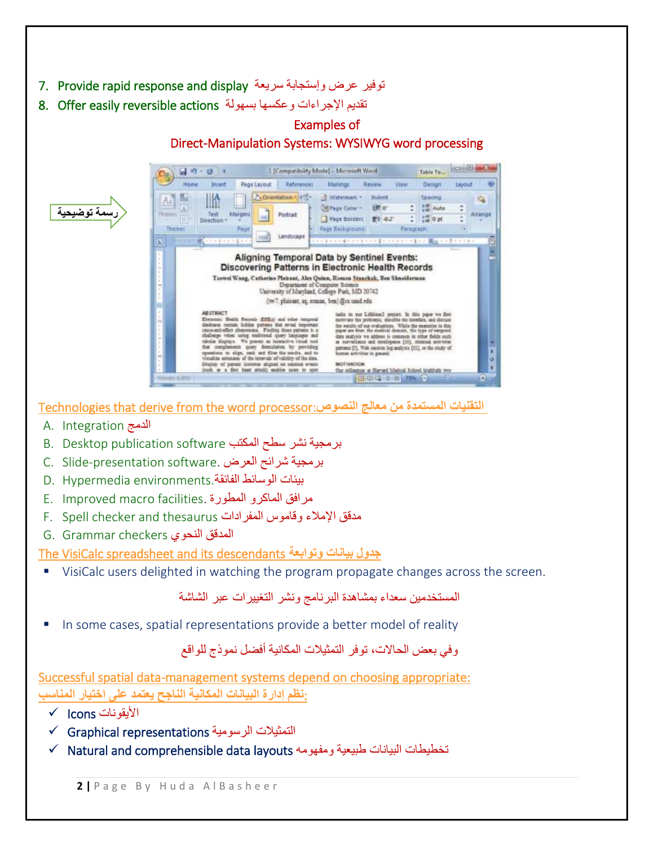- 7. Provide rapid response and display سريعة وإستجابة عرض توفير
- تقديم الإجراءات وعكسها بسهولة 8. Offer easily reversible actions



Technologies that derive from the word processor:**النصوص معالج من المستمدة التقنيات**

- A. Integration الدمج
- برمجية نشر سطح المكتب software publication Desktop .B
- C. Slide-presentation software. العرض شرائح برمجية
- بيئات الوسائط الفائقة.environments Hypermedia .D
- E. Improved macro facilities. المطورة الماكرو مرافق
- F. Spell checker and thesaurus المفرادات وقاموس اإلمالء مدقق
- G. Grammar checkers النحوي المدقق

The VisiCalc spreadsheet and its descendants **وتوابعة بيانات جدول**

VisiCalc users delighted in watching the program propagate changes across the screen.

المستخدمين سعداء بمشاهدة البرنامج ونشر التغييرات عبر الشاشة

In some cases, spatial representations provide a better model of reality

# وفي بعض الحاالت، توفر التمثيالت المكانية أفلل نموذج للواقع

Successful spatial data-management systems depend on choosing appropriate: :**نظم إدارة البيانات المكانية الناجح يعتمد على اختيار المناسب**

- $\checkmark$  Icons الأبقونات
- Graphical representations الرسومية التمثيالت
- $\checkmark$  Natural and comprehensible data layouts ومفهومه عظيطات البيانات طبيعية ومفهومه

**2 |** P a g e B y H u d a A l B a s h e e r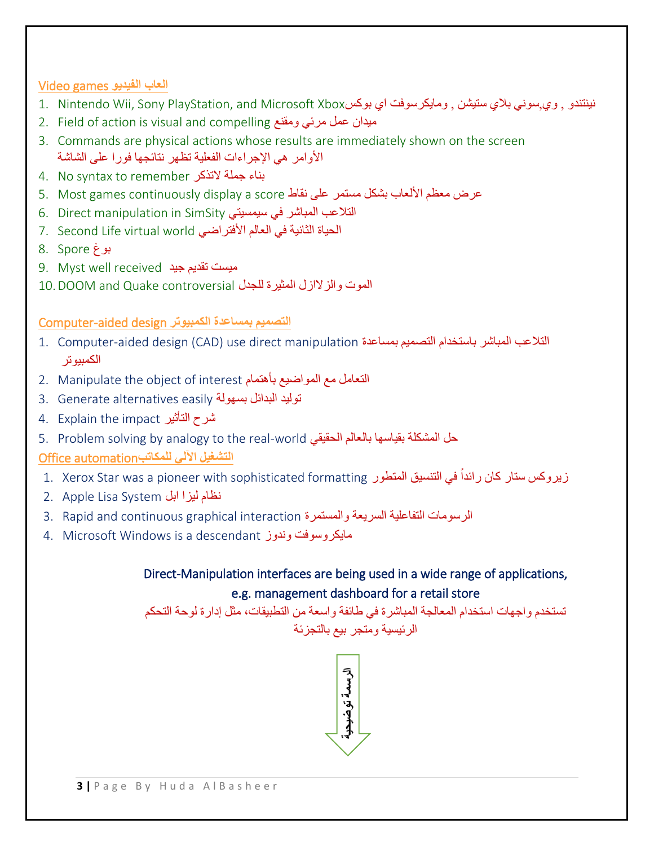# **العاب الفيديو** games Video

- نينتندو , وي,سوني بلاي ستيشن , ومايكرسوفت اي بوكسXbox Microsoft Abox و 1. Nintendo Wii, Sony PlayStation, and Microsoft Xbox
- 2. Field of action is visual and compelling ومقنع مرئي عمل ميدان
- 3. Commands are physical actions whose results are immediately shown on the screen الأوامر هي الإجراءات الفعلية تظهر نتائجها فورا على الشاشة
- 4. No syntax to remember التذكر جملة بناء
- عرض معظم الألعاب بشكل مستمر على نقاط 5. Most games continuously display a score
- التالعب المباشر في سيمسيتي SimSity in manipulation Direct 6.
- الحياة الثانية في العالم الأفتراضي 7. Second Life virtual world
- بوغ Spore 8.
- 9. Myst well received ميست تقديم جيد
- الموت والزالازل المثيرة للجدل controversial Quake and DOOM10.

# **التصميم بمساعدة الكمبيوتر** design aided-Computer

- 1. Computer-aided design (CAD) use direct manipulation بالتلاعب المباشر باستخدام التصميم بمساعدة ا الكمبيوتر
- 2. Manipulate the object of interest بأهتمام المواضيع مع التعامل
- 3. Generate alternatives easily توليد البدائل بسهولة
- 4. Explain the impact التأثير شرح
- 5. Problem solving by analogy to the real-world الحقيقي لاستان بالعالم الحقيقي
- **التشغيل اآللي للمكاتب**automation Office
- زيروكس ستار كان رائداً في التنسيق المتطور 1. Xerox Star was a pioneer with sophisticated formatting ً
- نظام ليزا ابل System Lisa Apple 2.
- 3. Rapid and continuous graphical interaction والمستمرة السريعة التفاعلية الرسومات
- 4. Microsoft Windows is a descendant وندوز مايكروسوفت

# Direct-Manipulation interfaces are being used in a wide range of applications, e.g. management dashboard for a retail store

تستخدم واجهات استخدام المعالجة المباشرة في طائفة واسعة من التطبيقات، مثل إدارة لوحة التحكم

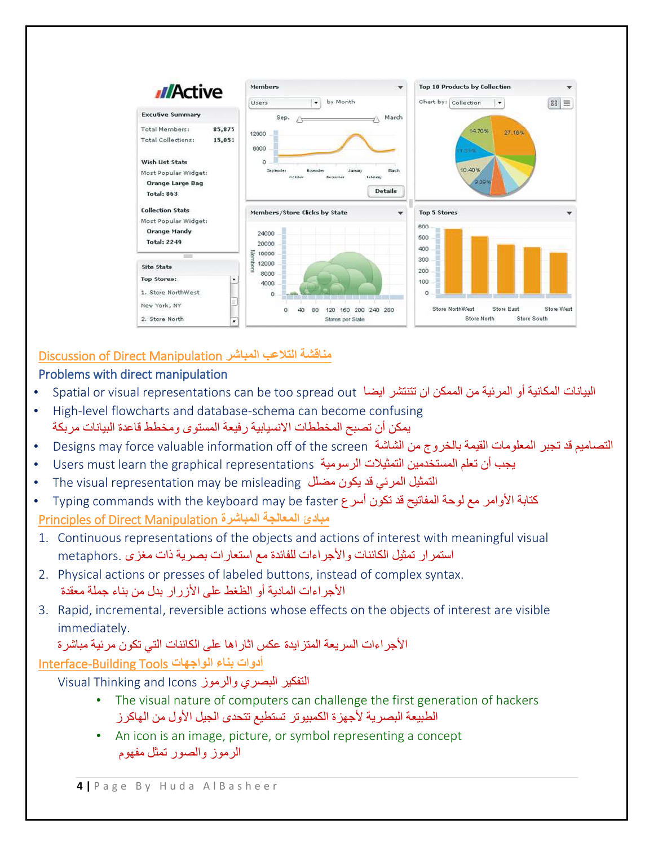

# Discussion of Direct Manipulation **المباشر التالعب مناقشة**

# Problems with direct manipulation

- البيانات المكانية أو المرئية من الممكن ان تتنتشر ايضا Spatial or visual representations can be too spread out
- High-level flowcharts and database-schema can become confusing يمكن أن تصبح المخططات االنسيابية رفيعة المستوى ومخطط قاعدة البيانات مربكة
- Designs may force valuable information off of the screen الشاشة من بالخروج القيمة المعلومات تجبر قد التصاميم
- يجب أن تعلم المستخدمين التمثيلات الرسومية Users must learn the graphical representations
- The visual representation may be misleading مللل يكون قد المرئي التمثيل
- كتابة الأوامر مع لوحة المفاتيح قد تكون أسر ع Typing commands with the keyboard may be faster Principles of Direct Manipulation **المباشرة المعالجة مبادئ**
- 1. Continuous representations of the objects and actions of interest with meaningful visual استمرار تمثيل الكائنات واألجراءات للفائدة مع استعارات بصرية ذات مغزى .metaphors
- 2. Physical actions or presses of labeled buttons, instead of complex syntax. األجراءات المادية أو الظغط على األزرار بدل من بناء جملة معقدة
- 3. Rapid, incremental, reversible actions whose effects on the objects of interest are visible immediately.

# األجراءات السريعة المتزايدة عكس اثاراها على الكائنات التي تكون مرئية مباشرة

# **أدوات بناء الواجهات** Tools Building-Interface

Visual Thinking and Icons والرموز البصري التفكير

- The visual nature of computers can challenge the first generation of hackers الطبيعة البصرية لأجهزة الكمبيوتر تستطيع تتحدى الجيل الأول من الهاكرز
- An icon is an image, picture, or symbol representing a concept الرموز والصور تمثل مفهوم

**4 |** P a g e B y H u d a A l B a s h e e r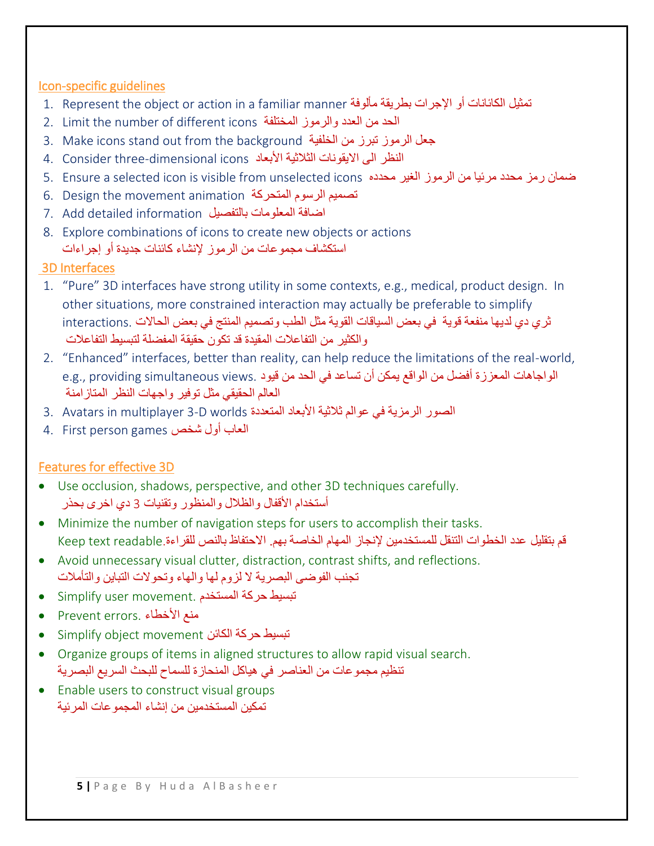# Icon-specific guidelines

- 1. Represent the object or action in a familiar manner مألوفة بطريقة اإلجرات أو الكائانات تمثيل
- 2. Limit the number of different icons المختلفة والرموز العدد من الحد
- 3. Make icons stand out from the background الجعل الرموز تبرز من الخلفية
- النظر الى الايقونات الثلاثية الأبعاد 4. Consider three-dimensional icons
- 5. Ensure a selected icon is visible from unselected icons محدده الغير الرموز من مرئيا محدد رمز ضمان
- 6. Design the movement animation الصميم الرسوم المتحركة
- اضافة المعلومات بالتفصيل 7. Add detailed information
- 8. Explore combinations of icons to create new objects or actions استكشاف مجموعات من الرموز إلنشاء كائنات جديدة أو إجراءات

# 3D Interfaces

- 1. "Pure" 3D interfaces have strong utility in some contexts, e.g., medical, product design. In other situations, more constrained interaction may actually be preferable to simplify ثري دي لديها منفعة قوية في بعض السياقات القوية مثل الطب وتصميم المنتج في بعض الحاالت .interactions والكثير من التفاعالت المقيدة قد تكون حقيقة المفللة لتبسيط التفاعالت
- 2. "Enhanced" interfaces, better than reality, can help reduce the limitations of the real-world, الواجاهات المعززة أفضل من الواقع يمكن أن تساعد في الحد من قيود .e.g., providing simultaneous views العالم الحقيقي مثل توفير واجهات النظر المتازامنة
- الصور الرمزية في عوالم ثلاثية الأبعاد المتعددة 3. Avatars in multiplayer 3-D worlds
- العاب أول شخص games person First 4.

# Features for effective 3D

- Use occlusion, shadows, perspective, and other 3D techniques carefully. أستخدام األقفال والظالل والمنظور وتقنيات 3 دي اخرى بحذر
- Minimize the number of navigation steps for users to accomplish their tasks. قم بتقليل عدد الخطوات التنقل للمستخدمين لإنجاز المهام الخاصة بهم. الاحتفاظ بالنص للقراءة.Keep text readable ا
- Avoid unnecessary visual clutter, distraction, contrast shifts, and reflections. تجنب الفوضى البصرية ال لزوم لها والهاء وتحوالت التباين والتأمالت
- Simplify user movement. المستخدم حركة تبسيط
- Prevent errors. األخطاء منع
- Simplify object movement الكائن حركة تبسيط
- Organize groups of items in aligned structures to allow rapid visual search. تنظيم مجموعات من العناصر في هياكل المنحازة للسماح للبحث السريع البصرية
- Enable users to construct visual groups تمكين المستخدمين من إنشاء المجموعات المرئية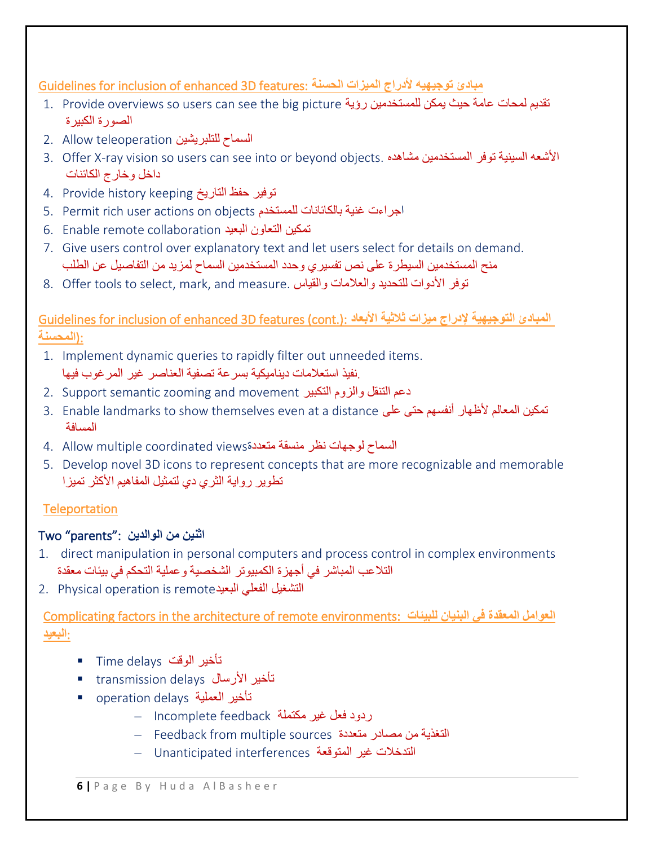Guidelines for inclusion of enhanced 3D features: **الحسنة الميزات ألدراج توجيهيه مبادئ**

- 1. Provide overviews so users can see the big picture رؤية للمستخدمين يمكن حيث عامة لمحات تقديم الصورة الكبيرة
- السماح للتلبريشين teleoperation Allow 2.
- 3. Offer X-ray vision so users can see into or beyond objects. مشاهده المستخدمين توفر السينية األشعه داخل وخارج الكائنات
- توفير حفظ التاريخ keeping history Provide 4.
- 5. Permit rich user actions on objects للمستخدم بالكائانات غنية اجراءت
- تمكين التعاون البعيد collaboration remote Enable 6.
- 7. Give users control over explanatory text and let users select for details on demand. منح المستخدمين السيطرة على نص تفسيري وحدد المستخدمين السماح لمزيد من التفاصيل عن الطلب
- 8. Offer tools to select, mark, and measure. توفر الأدوات للتحديد والعلامات والقياس

Guidelines for inclusion of enhanced 3D features (cont.): **األبعاد ثالثية ميزات إلدراج التوجيهية المبادئ** :(**المحسنة**

- 1. Implement dynamic queries to rapidly filter out unneeded items. .نفيذ استعالمات ديناميكية بسرعة تصفية العناصر غير المرغوب فيها
- 2. Support semantic zooming and movement التنقل والزوم التكبير
- 3. Enable landmarks to show themselves even at a distance على المعالم لأظهار أنفسهم حتى على على المعالم تمكين المسافة
- السماح لوجهات نظر منسقة متعددةviews coordinated multiple Allow 4.
- 5. Develop novel 3D icons to represent concepts that are more recognizable and memorable تطوير رواية الثري دي لتمثيل المفاهيم الأكثر تميزا

# **Teleportation**

# **اثنين من الوالدين** :"parents "Two

- 1. direct manipulation in personal computers and process control in complex environments التالعب المباشر في أجهزة الكمبيوتر الشخصية وعملية التحكم في بيئات معقدة
- 2. Physical operation is remote التشغيل الفعلي البعيد

Complicating factors in the architecture of remote environments: **للبيئات البنيان في المعقدة العوامل** :**البعيد**

- Time delays الوقت تأخير
- transmission delays األرسال تأخير
- operation delays العملية تأخير
	- ردود فعل غير مكتملة feedback Incomplete–
	- التغذية من مصادر متعددة sources multiple from Feedback–
	- التدخالت غير المتوقعة interferences Unanticipated–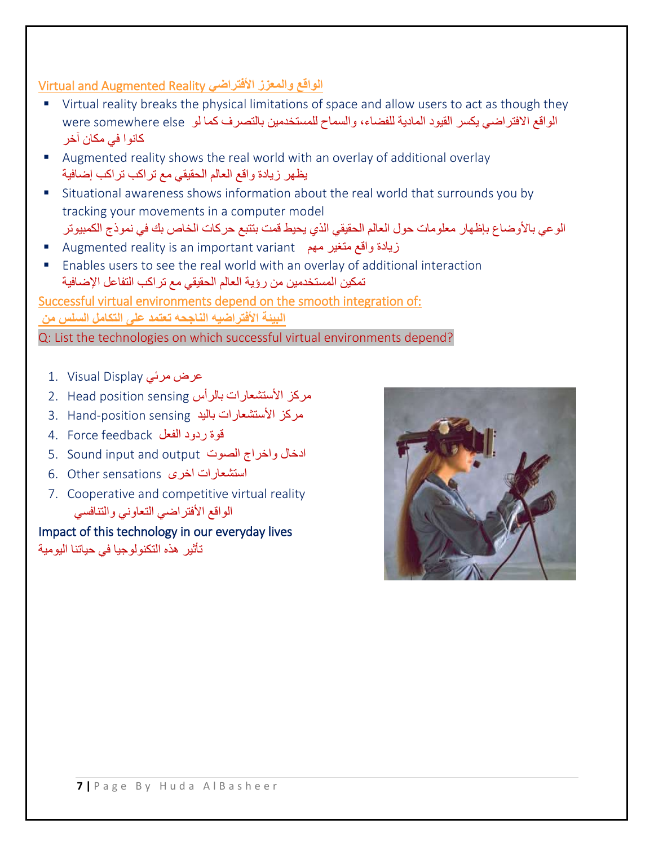# Virtual and Augmented Reality **األفتراضي والمعزز الواقع**

- Virtual reality breaks the physical limitations of space and allow users to act as though they الواقع الافتراضي يكسر القيود المادية للفضاء، والسماح للمستخدمين بالتصرف كما لو were somewhere else كانوا في مكان آخر
- Augmented reality shows the real world with an overlay of additional overlay يظهر زيادة واقع العالم الحقيقي مع تراكب تراكب إضافية
- Situational awareness shows information about the real world that surrounds you by tracking your movements in a computer model الوعي باألوضاع بإظهار معلومات حول العالم الحقيقي الذي يحيط قمت بتتبع حركات الخاص بك في نموذج الكمبيوتر
- ـ Augmented reality is an important variant متغير مهم Augmented reality is an important
- Enables users to see the real world with an overlay of additional interaction تمكين المستخدمين من رؤية العالم الحقيقي مع تراكب التفاعل اإلضافية

Successful virtual environments depend on the smooth integration of: **البيئة األفتراضيه الناجحه تعتمد على التكامل السلس من**  Q: List the technologies on which successful virtual environments depend?

عرض مرئي 1. Visual Display

- مركز الأستشعارات بالرأس 2. Head position sensing
- مركز الأستشعارات باليد 3. Hand-position sensing
- قوة ردود الفعل feedback Force 4.
- 5. Sound input and output الصوت واخراج ادخال
- استشعارات اخرى sensations Other 6.
- 7. Cooperative and competitive virtual reality الواقع الأفتراضي التعاوني والتنافسي

Impact of this technology in our everyday lives تأثير هذه التكنولوجيا في حياتنا اليومية

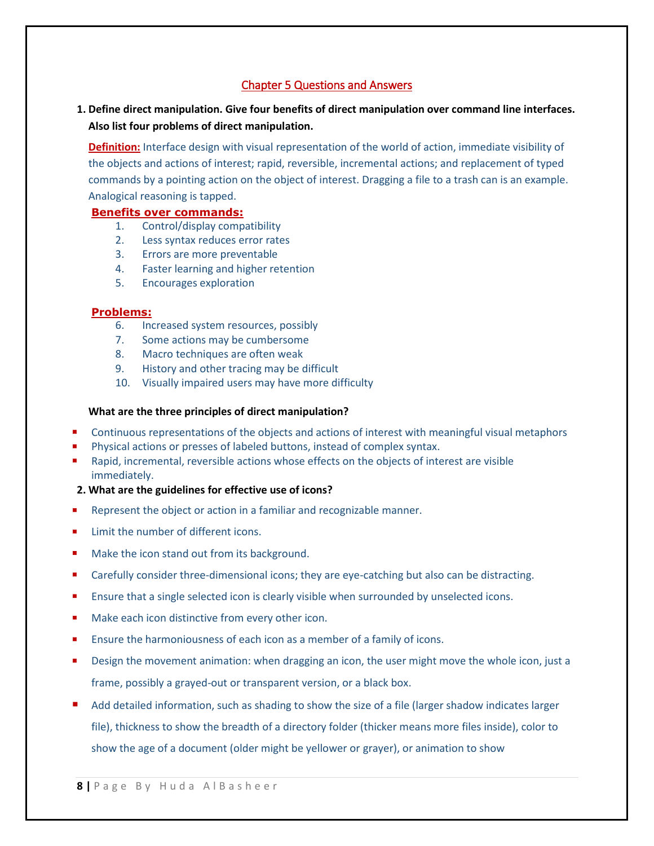## Chapter 5 Questions and Answers

**1. Define direct manipulation. Give four benefits of direct manipulation over command line interfaces. Also list four problems of direct manipulation.**

**Definition:** Interface design with visual representation of the world of action, immediate visibility of the objects and actions of interest; rapid, reversible, incremental actions; and replacement of typed commands by a pointing action on the object of interest. Dragging a file to a trash can is an example. Analogical reasoning is tapped.

### **Benefits over commands:**

- 1. Control/display compatibility
- 2. Less syntax reduces error rates
- 3. Errors are more preventable
- 4. Faster learning and higher retention
- 5. Encourages exploration

### **Problems:**

- 6. Increased system resources, possibly
- 7. Some actions may be cumbersome
- 8. Macro techniques are often weak
- 9. History and other tracing may be difficult
- 10. Visually impaired users may have more difficulty

### **What are the three principles of direct manipulation?**

- **Continuous representations of the objects and actions of interest with meaningful visual metaphors**
- Physical actions or presses of labeled buttons, instead of complex syntax.
- Rapid, incremental, reversible actions whose effects on the objects of interest are visible immediately.
- **2. What are the guidelines for effective use of icons?**
- Represent the object or action in a familiar and recognizable manner.
- Limit the number of different icons.
- Make the icon stand out from its background.
- Carefully consider three-dimensional icons; they are eye-catching but also can be distracting.
- **Ensure that a single selected icon is clearly visible when surrounded by unselected icons.**
- Make each icon distinctive from every other icon.
- Ensure the harmoniousness of each icon as a member of a family of icons.
- Design the movement animation: when dragging an icon, the user might move the whole icon, just a frame, possibly a grayed-out or transparent version, or a black box.
- Add detailed information, such as shading to show the size of a file (larger shadow indicates larger file), thickness to show the breadth of a directory folder (thicker means more files inside), color to show the age of a document (older might be yellower or grayer), or animation to show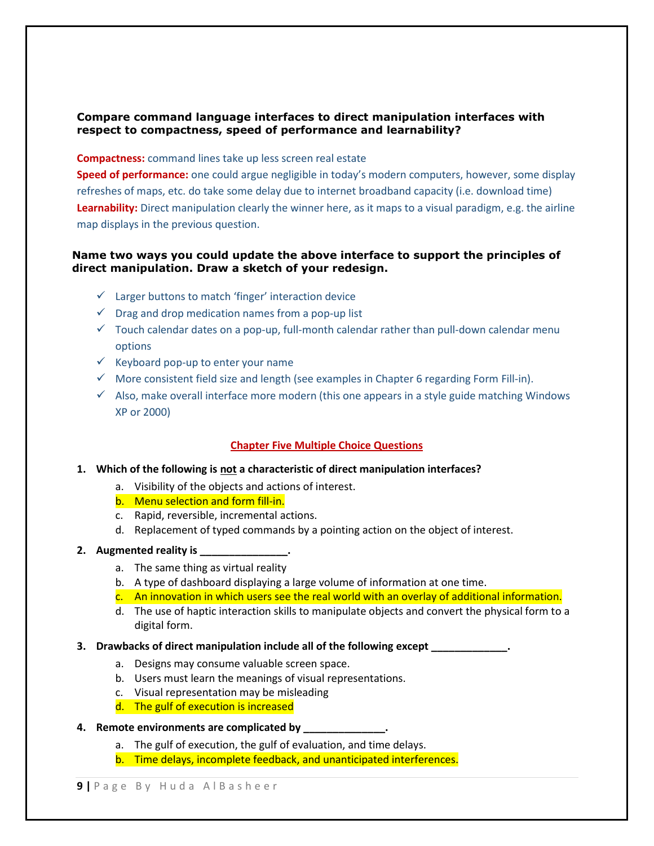### **Compare command language interfaces to direct manipulation interfaces with respect to compactness, speed of performance and learnability?**

#### **Compactness:** command lines take up less screen real estate

**Speed of performance:** one could argue negligible in today's modern computers, however, some display refreshes of maps, etc. do take some delay due to internet broadband capacity (i.e. download time) **Learnability:** Direct manipulation clearly the winner here, as it maps to a visual paradigm, e.g. the airline map displays in the previous question.

### **Name two ways you could update the above interface to support the principles of direct manipulation. Draw a sketch of your redesign.**

- $\checkmark$  Larger buttons to match 'finger' interaction device
- $\checkmark$  Drag and drop medication names from a pop-up list
- $\checkmark$  Touch calendar dates on a pop-up, full-month calendar rather than pull-down calendar menu options
- $\checkmark$  Keyboard pop-up to enter your name
- $\checkmark$  More consistent field size and length (see examples in Chapter 6 regarding Form Fill-in).
- $\checkmark$  Also, make overall interface more modern (this one appears in a style guide matching Windows XP or 2000)

### **Chapter Five Multiple Choice Questions**

#### **1. Which of the following is not a characteristic of direct manipulation interfaces?**

- a. Visibility of the objects and actions of interest.
- b. Menu selection and form fill-in.
- c. Rapid, reversible, incremental actions.
- d. Replacement of typed commands by a pointing action on the object of interest.

#### **2. Augmented reality is \_\_\_\_\_\_\_\_\_\_\_\_\_\_\_.**

- a. The same thing as virtual reality
- b. A type of dashboard displaying a large volume of information at one time.
- c. An innovation in which users see the real world with an overlay of additional information.
- d. The use of haptic interaction skills to manipulate objects and convert the physical form to a digital form.

#### **3. Drawbacks of direct manipulation include all of the following except \_\_\_\_\_\_\_\_\_\_\_\_\_.**

- a. Designs may consume valuable screen space.
- b. Users must learn the meanings of visual representations.
- c. Visual representation may be misleading
- d. The gulf of execution is increased

#### **4. Remote environments are complicated by \_\_\_\_\_\_\_\_\_\_\_\_\_\_.**

- a. The gulf of execution, the gulf of evaluation, and time delays.
- b. Time delays, incomplete feedback, and unanticipated interferences.

**9** | Page By Huda AlBasheer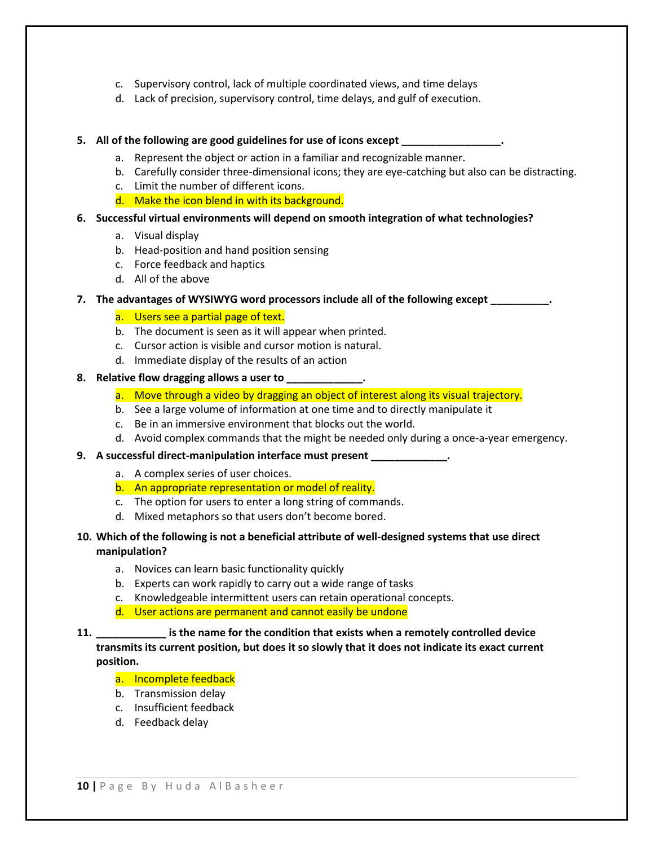- c. Supervisory control, lack of multiple coordinated views, and time delays
- d. Lack of precision, supervisory control, time delays, and gulf of execution.

#### **5. All of the following are good guidelines for use of icons except \_\_\_\_\_\_\_\_\_\_\_\_\_\_\_\_\_.**

- a. Represent the object or action in a familiar and recognizable manner.
- b. Carefully consider three-dimensional icons; they are eye-catching but also can be distracting.
- c. Limit the number of different icons.
- d. Make the icon blend in with its background.

#### **6. Successful virtual environments will depend on smooth integration of what technologies?**

- a. Visual display
- b. Head-position and hand position sensing
- c. Force feedback and haptics
- d. All of the above

#### **7. The advantages of WYSIWYG word processors include all of the following except \_\_\_\_\_\_\_\_\_\_.**

#### a. Users see a partial page of text.

- b. The document is seen as it will appear when printed.
- c. Cursor action is visible and cursor motion is natural.
- d. Immediate display of the results of an action

#### **8. Relative flow dragging allows a user to \_\_\_\_\_\_\_\_\_\_\_\_\_.**

- a. Move through a video by dragging an object of interest along its visual trajectory.
- b. See a large volume of information at one time and to directly manipulate it
- c. Be in an immersive environment that blocks out the world.
- d. Avoid complex commands that the might be needed only during a once-a-year emergency.

#### **9. A successful direct-manipulation interface must present \_\_\_\_\_\_\_\_\_\_\_\_\_.**

- a. A complex series of user choices.
- b. An appropriate representation or model of reality.
- c. The option for users to enter a long string of commands.
- d. Mixed metaphors so that users don't become bored.

### **10. Which of the following is not a beneficial attribute of well-designed systems that use direct manipulation?**

- a. Novices can learn basic functionality quickly
- b. Experts can work rapidly to carry out a wide range of tasks
- c. Knowledgeable intermittent users can retain operational concepts.
- d. User actions are permanent and cannot easily be undone

**11. \_\_\_\_\_\_\_\_\_\_\_\_ is the name for the condition that exists when a remotely controlled device transmits its current position, but does it so slowly that it does not indicate its exact current position.**

#### a. Incomplete feedback

- b. Transmission delay
- c. Insufficient feedback
- d. Feedback delay